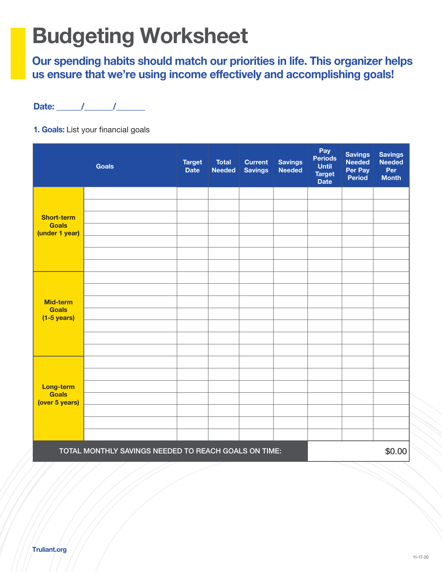# Budgeting Worksheet

Our spending habits should match our priorities in life. This organizer helps us ensure that we're using income effectively and accomplishing goals!

1. Goals: List your financial goals

|                                                      | <b>Goals</b> | <b>Target</b><br><b>Date</b> | <b>Total</b><br><b>Needed</b> | <b>Current</b><br><b>Savings</b> | <b>Savings</b><br><b>Needed</b> | Pay<br><b>Periods</b><br><b>Until</b><br><b>Target</b><br><b>Date</b> | <b>Savings</b><br><b>Needed</b><br>Per Pay<br><b>Period</b> | <b>Savings</b><br><b>Needed</b><br>Per<br><b>Month</b> |
|------------------------------------------------------|--------------|------------------------------|-------------------------------|----------------------------------|---------------------------------|-----------------------------------------------------------------------|-------------------------------------------------------------|--------------------------------------------------------|
|                                                      |              |                              |                               |                                  |                                 |                                                                       |                                                             |                                                        |
|                                                      |              |                              |                               |                                  |                                 |                                                                       |                                                             |                                                        |
| <b>Short-term</b><br><b>Goals</b>                    |              |                              |                               |                                  |                                 |                                                                       |                                                             |                                                        |
| (under 1 year)                                       |              |                              |                               |                                  |                                 |                                                                       |                                                             |                                                        |
|                                                      |              |                              |                               |                                  |                                 |                                                                       |                                                             |                                                        |
|                                                      |              |                              |                               |                                  |                                 |                                                                       |                                                             |                                                        |
|                                                      |              |                              |                               |                                  |                                 |                                                                       |                                                             |                                                        |
| <b>Mid-term</b>                                      |              |                              |                               |                                  |                                 |                                                                       |                                                             |                                                        |
| <b>Goals</b><br>$(1-5 \text{ years})$                |              |                              |                               |                                  |                                 |                                                                       |                                                             |                                                        |
|                                                      |              |                              |                               |                                  |                                 |                                                                       |                                                             |                                                        |
|                                                      |              |                              |                               |                                  |                                 |                                                                       |                                                             |                                                        |
|                                                      |              |                              |                               |                                  |                                 |                                                                       |                                                             |                                                        |
|                                                      |              |                              |                               |                                  |                                 |                                                                       |                                                             |                                                        |
| <b>Long-term</b><br><b>Goals</b><br>(over 5 years)   |              |                              |                               |                                  |                                 |                                                                       |                                                             |                                                        |
|                                                      |              |                              |                               |                                  |                                 |                                                                       |                                                             |                                                        |
|                                                      |              |                              |                               |                                  |                                 |                                                                       |                                                             |                                                        |
|                                                      |              |                              |                               |                                  |                                 |                                                                       |                                                             |                                                        |
| TOTAL MONTHLY SAVINGS NEEDED TO REACH GOALS ON TIME: |              |                              |                               |                                  |                                 |                                                                       | \$0.00                                                      |                                                        |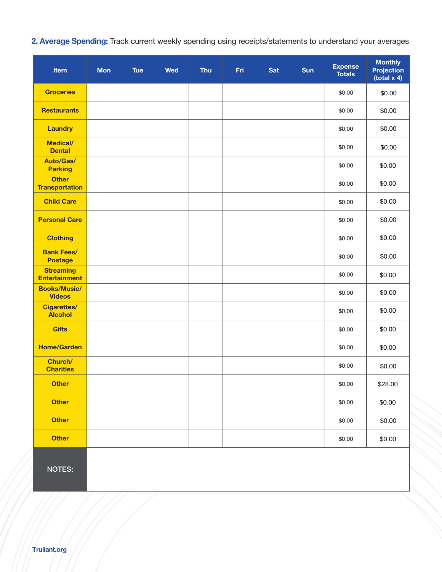2. Average Spending: Track current weekly spending using receipts/statements to understand your averages

| Item                                     | <b>Mon</b> | <b>Tue</b> | <b>Wed</b> | Thu | Fri | <b>Sat</b> | <b>Sun</b> | <b>Expense</b><br><b>Totals</b> | <b>Monthly</b><br><b>Projection</b><br>(total $x$ 4) |
|------------------------------------------|------------|------------|------------|-----|-----|------------|------------|---------------------------------|------------------------------------------------------|
| <b>Groceries</b>                         |            |            |            |     |     |            |            | \$0.00                          | \$0.00                                               |
| <b>Restaurants</b>                       |            |            |            |     |     |            |            | \$0.00                          | \$0.00                                               |
| <b>Laundry</b>                           |            |            |            |     |     |            |            | \$0.00                          | \$0.00                                               |
| <b>Medical/</b><br><b>Dental</b>         |            |            |            |     |     |            |            | \$0.00                          | \$0.00                                               |
| <b>Auto/Gas/</b><br><b>Parking</b>       |            |            |            |     |     |            |            | \$0.00                          | \$0.00                                               |
| <b>Other</b><br><b>Transportation</b>    |            |            |            |     |     |            |            | \$0.00                          | \$0.00                                               |
| <b>Child Care</b>                        |            |            |            |     |     |            |            | \$0.00                          | \$0.00                                               |
| <b>Personal Care</b>                     |            |            |            |     |     |            |            | \$0.00                          | \$0.00                                               |
| <b>Clothing</b>                          |            |            |            |     |     |            |            | \$0.00                          | \$0.00                                               |
| <b>Bank Fees/</b><br><b>Postage</b>      |            |            |            |     |     |            |            | \$0.00                          | \$0.00                                               |
| <b>Streaming</b><br><b>Entertainment</b> |            |            |            |     |     |            |            | \$0.00                          | \$0.00                                               |
| <b>Books/Music/</b><br><b>Videos</b>     |            |            |            |     |     |            |            | \$0.00                          | \$0.00                                               |
| <b>Cigarettes/</b><br><b>Alcohol</b>     |            |            |            |     |     |            |            | \$0.00                          | \$0.00                                               |
| <b>Gifts</b>                             |            |            |            |     |     |            |            | \$0.00                          | \$0.00                                               |
| <b>Home/Garden</b>                       |            |            |            |     |     |            |            | \$0.00                          | \$0.00                                               |
| Church/<br><b>Charities</b>              |            |            |            |     |     |            |            | \$0.00                          | \$0.00                                               |
| <b>Other</b>                             |            |            |            |     |     |            |            | \$0.00                          | \$28.00                                              |
| <b>Other</b>                             |            |            |            |     |     |            |            | \$0.00                          | \$0.00                                               |
| <b>Other</b>                             |            |            |            |     |     |            |            | \$0.00                          | \$0.00                                               |
| <b>Other</b>                             |            |            |            |     |     |            |            | \$0.00                          | \$0.00                                               |
| <b>NOTES:</b>                            |            |            |            |     |     |            |            |                                 |                                                      |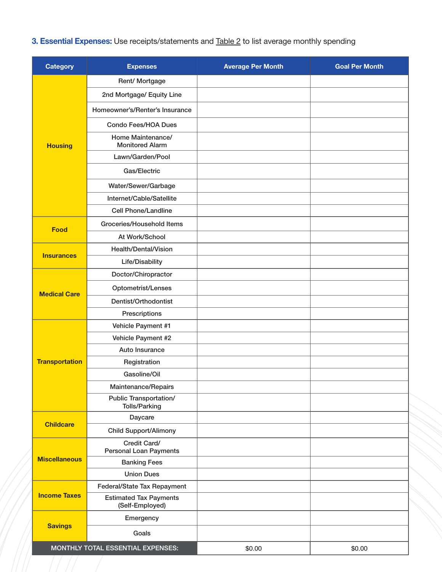## 3. Essential Expenses: Use receipts/statements and **Table 2** to list average monthly spending

| <b>Category</b>                   | <b>Expenses</b>                                       | <b>Average Per Month</b> | <b>Goal Per Month</b> |
|-----------------------------------|-------------------------------------------------------|--------------------------|-----------------------|
|                                   | Rent/ Mortgage                                        |                          |                       |
|                                   | 2nd Mortgage/ Equity Line                             |                          |                       |
|                                   | Homeowner's/Renter's Insurance                        |                          |                       |
|                                   | <b>Condo Fees/HOA Dues</b>                            |                          |                       |
| <b>Housing</b>                    | Home Maintenance/<br><b>Monitored Alarm</b>           |                          |                       |
|                                   | Lawn/Garden/Pool                                      |                          |                       |
|                                   | Gas/Electric                                          |                          |                       |
|                                   | Water/Sewer/Garbage                                   |                          |                       |
|                                   | Internet/Cable/Satellite                              |                          |                       |
|                                   | <b>Cell Phone/Landline</b>                            |                          |                       |
|                                   | Groceries/Household Items                             |                          |                       |
| <b>Food</b>                       | At Work/School                                        |                          |                       |
|                                   | Health/Dental/Vision                                  |                          |                       |
| <b>Insurances</b>                 | Life/Disability                                       |                          |                       |
|                                   | Doctor/Chiropractor                                   |                          |                       |
|                                   | Optometrist/Lenses                                    |                          |                       |
| <b>Medical Care</b>               | Dentist/Orthodontist                                  |                          |                       |
|                                   | Prescriptions                                         |                          |                       |
|                                   | Vehicle Payment #1                                    |                          |                       |
|                                   | Vehicle Payment #2                                    |                          |                       |
|                                   | Auto Insurance                                        |                          |                       |
| <b>Transportation</b>             | Registration                                          |                          |                       |
|                                   | Gasoline/Oil                                          |                          |                       |
|                                   | Maintenance/Repairs                                   |                          |                       |
|                                   | <b>Public Transportation/</b><br><b>Tolls/Parking</b> |                          |                       |
|                                   | Daycare                                               |                          |                       |
| <b>Childcare</b>                  | <b>Child Support/Alimony</b>                          |                          |                       |
| <b>Miscellaneous</b>              | Credit Card/<br><b>Personal Loan Payments</b>         |                          |                       |
|                                   | <b>Banking Fees</b>                                   |                          |                       |
|                                   | <b>Union Dues</b>                                     |                          |                       |
| <b>Income Taxes</b>               | Federal/State Tax Repayment                           |                          |                       |
|                                   | <b>Estimated Tax Payments</b><br>(Self-Employed)      |                          |                       |
|                                   | Emergency                                             |                          |                       |
| <b>Savings</b>                    | Goals                                                 |                          |                       |
| MONTHLY TOTAL ESSENTIAL EXPENSES: |                                                       | \$0.00                   | \$0.00                |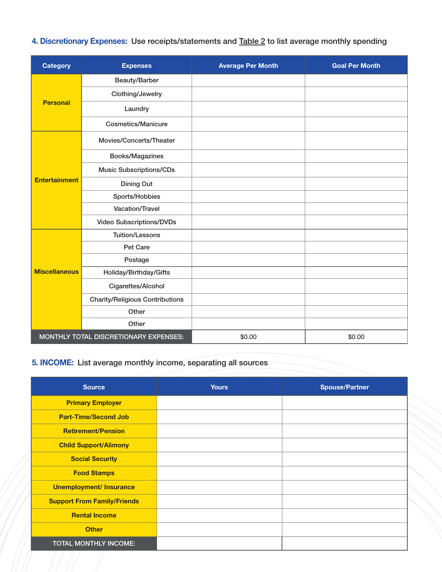## 4. Discretionary Expenses: Use receipts/statements and **Table 2** to list average monthly spending

| <b>Category</b>                       | <b>Expenses</b>                        | <b>Average Per Month</b> | <b>Goal Per Month</b> |
|---------------------------------------|----------------------------------------|--------------------------|-----------------------|
|                                       | Beauty/Barber                          |                          |                       |
| <b>Personal</b>                       | Clothing/Jewelry                       |                          |                       |
|                                       | Laundry                                |                          |                       |
|                                       | <b>Cosmetics/Manicure</b>              |                          |                       |
|                                       | Movies/Concerts/Theater                |                          |                       |
|                                       | Books/Magazines                        |                          |                       |
|                                       | <b>Music Subscriptions/CDs</b>         |                          |                       |
| <b>Entertainment</b>                  | <b>Dining Out</b>                      |                          |                       |
|                                       | Sports/Hobbies                         |                          |                       |
|                                       | <b>Vacation/Travel</b>                 |                          |                       |
|                                       | <b>Video Subscriptions/DVDs</b>        |                          |                       |
|                                       | <b>Tuition/Lessons</b>                 |                          |                       |
|                                       | Pet Care                               |                          |                       |
|                                       | Postage                                |                          |                       |
| <b>Miscellaneous</b>                  | Holiday/Birthday/Gifts                 |                          |                       |
|                                       | Cigarettes/Alcohol                     |                          |                       |
|                                       | <b>Charity/Religious Contributions</b> |                          |                       |
|                                       | Other                                  |                          |                       |
|                                       | Other                                  |                          |                       |
| MONTHLY TOTAL DISCRETIONARY EXPENSES: |                                        | \$0.00                   | \$0.00                |

## 5. INCOME: List average monthly income, separating all sources

| <b>Source</b>                      | <b>Yours</b> | <b>Spouse/Partner</b> |
|------------------------------------|--------------|-----------------------|
| <b>Primary Employer</b>            |              |                       |
| <b>Part-Time/Second Job</b>        |              |                       |
| <b>Retirement/Pension</b>          |              |                       |
| <b>Child Support/Alimony</b>       |              |                       |
| <b>Social Security</b>             |              |                       |
| <b>Food Stamps</b>                 |              |                       |
| <b>Unemployment/ Insurance</b>     |              |                       |
| <b>Support From Family/Friends</b> |              |                       |
| <b>Rental Income</b>               |              |                       |
| <b>Other</b>                       |              |                       |
| TOTAL MONTHLY INCOME:              |              |                       |